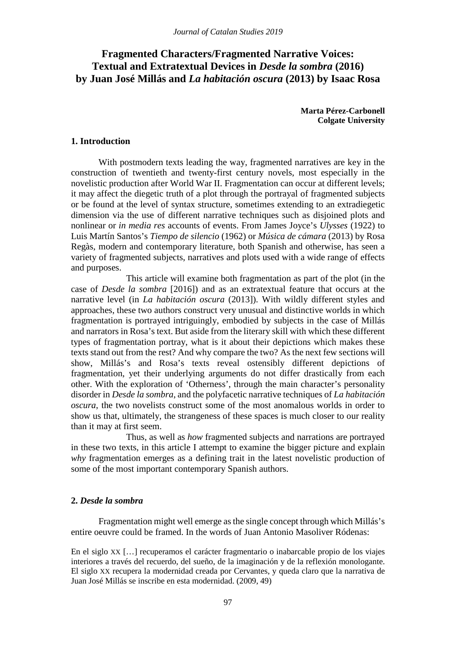# **Fragmented Characters/Fragmented Narrative Voices: Textual and Extratextual Devices in** *Desde la sombra* **(2016) by Juan José Millás and** *La habitación oscura* **(2013) by Isaac Rosa**

**Marta Pérez-Carbonell Colgate University**

# **1. Introduction**

With postmodern texts leading the way, fragmented narratives are key in the construction of twentieth and twenty-first century novels, most especially in the novelistic production after World War II. Fragmentation can occur at different levels; it may affect the diegetic truth of a plot through the portrayal of fragmented subjects or be found at the level of syntax structure, sometimes extending to an extradiegetic dimension via the use of different narrative techniques such as disjoined plots and nonlinear or *in media res* accounts of events. From James Joyce's *Ulysses* (1922) to Luis Martín Santos's *Tiempo de silencio* (1962) or *Música de cámara* (2013) by Rosa Regàs, modern and contemporary literature, both Spanish and otherwise, has seen a variety of fragmented subjects, narratives and plots used with a wide range of effects and purposes.

This article will examine both fragmentation as part of the plot (in the case of *Desde la sombra* [2016]) and as an extratextual feature that occurs at the narrative level (in *La habitación oscura* (2013]). With wildly different styles and approaches, these two authors construct very unusual and distinctive worlds in which fragmentation is portrayed intriguingly, embodied by subjects in the case of Millás and narrators in Rosa's text. But aside from the literary skill with which these different types of fragmentation portray, what is it about their depictions which makes these texts stand out from the rest? And why compare the two? As the next few sections will show, Millás's and Rosa's texts reveal ostensibly different depictions of fragmentation, yet their underlying arguments do not differ drastically from each other. With the exploration of 'Otherness', through the main character's personality disorder in *Desde la sombra*, and the polyfacetic narrative techniques of *La habitación oscura*, the two novelists construct some of the most anomalous worlds in order to show us that, ultimately, the strangeness of these spaces is much closer to our reality than it may at first seem.

Thus, as well as *how* fragmented subjects and narrations are portrayed in these two texts, in this article I attempt to examine the bigger picture and explain *why* fragmentation emerges as a defining trait in the latest novelistic production of some of the most important contemporary Spanish authors.

# **2.** *Desde la sombra*

Fragmentation might well emerge as the single concept through which Millás's entire oeuvre could be framed. In the words of Juan Antonio Masoliver Ródenas:

En el siglo XX […] recuperamos el carácter fragmentario o inabarcable propio de los viajes interiores a través del recuerdo, del sueño, de la imaginación y de la reflexión monologante. El siglo XX recupera la modernidad creada por Cervantes, y queda claro que la narrativa de Juan José Millás se inscribe en esta modernidad. (2009, 49)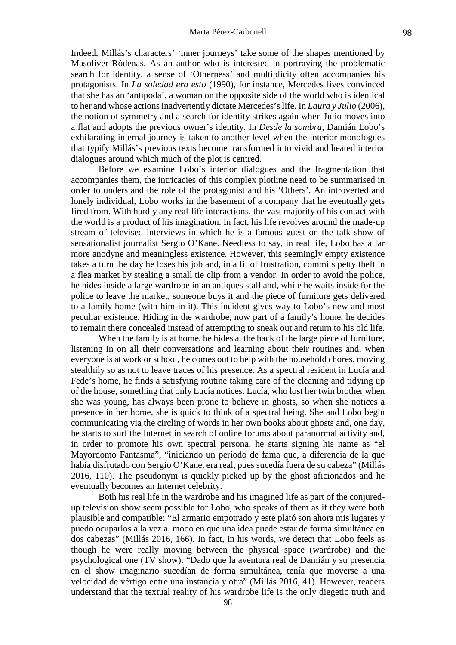Indeed, Millás's characters' 'inner journeys' take some of the shapes mentioned by Masoliver Ródenas. As an author who is interested in portraying the problematic search for identity, a sense of 'Otherness' and multiplicity often accompanies his protagonists. In *La soledad era esto* (1990), for instance, Mercedes lives convinced that she has an 'antípoda', a woman on the opposite side of the world who is identical to her and whose actions inadvertently dictate Mercedes's life. In *Laura y Julio* (2006), the notion of symmetry and a search for identity strikes again when Julio moves into a flat and adopts the previous owner's identity. In *Desde la sombra*, Damián Lobo's exhilarating internal journey is taken to another level when the interior monologues that typify Millás's previous texts become transformed into vivid and heated interior dialogues around which much of the plot is centred.

Before we examine Lobo's interior dialogues and the fragmentation that accompanies them, the intricacies of this complex plotline need to be summarised in order to understand the role of the protagonist and his 'Others'. An introverted and lonely individual, Lobo works in the basement of a company that he eventually gets fired from. With hardly any real-life interactions, the vast majority of his contact with the world is a product of his imagination. In fact, his life revolves around the made-up stream of televised interviews in which he is a famous guest on the talk show of sensationalist journalist Sergio O'Kane. Needless to say, in real life, Lobo has a far more anodyne and meaningless existence. However, this seemingly empty existence takes a turn the day he loses his job and, in a fit of frustration, commits petty theft in a flea market by stealing a small tie clip from a vendor. In order to avoid the police, he hides inside a large wardrobe in an antiques stall and, while he waits inside for the police to leave the market, someone buys it and the piece of furniture gets delivered to a family home (with him in it). This incident gives way to Lobo's new and most peculiar existence. Hiding in the wardrobe, now part of a family's home, he decides to remain there concealed instead of attempting to sneak out and return to his old life.

When the family is at home, he hides at the back of the large piece of furniture, listening in on all their conversations and learning about their routines and, when everyone is at work or school, he comes out to help with the household chores, moving stealthily so as not to leave traces of his presence. As a spectral resident in Lucía and Fede's home, he finds a satisfying routine taking care of the cleaning and tidying up of the house, something that only Lucía notices. Lucía, who lost her twin brother when she was young, has always been prone to believe in ghosts, so when she notices a presence in her home, she is quick to think of a spectral being. She and Lobo begin communicating via the circling of words in her own books about ghosts and, one day, he starts to surf the Internet in search of online forums about paranormal activity and, in order to promote his own spectral persona, he starts signing his name as "el Mayordomo Fantasma", "iniciando un periodo de fama que, a diferencia de la que había disfrutado con Sergio O'Kane, era real, pues sucedía fuera de su cabeza" (Millás 2016, 110). The pseudonym is quickly picked up by the ghost aficionados and he eventually becomes an Internet celebrity.

Both his real life in the wardrobe and his imagined life as part of the conjuredup television show seem possible for Lobo, who speaks of them as if they were both plausible and compatible: "El armario empotrado y este plató son ahora mis lugares y puedo ocuparlos a la vez al modo en que una idea puede estar de forma simultánea en dos cabezas" (Millás 2016, 166). In fact, in his words, we detect that Lobo feels as though he were really moving between the physical space (wardrobe) and the psychological one (TV show): "Dado que la aventura real de Damián y su presencia en el show imaginario sucedían de forma simultánea, tenía que moverse a una velocidad de vértigo entre una instancia y otra" (Millás 2016, 41). However, readers understand that the textual reality of his wardrobe life is the only diegetic truth and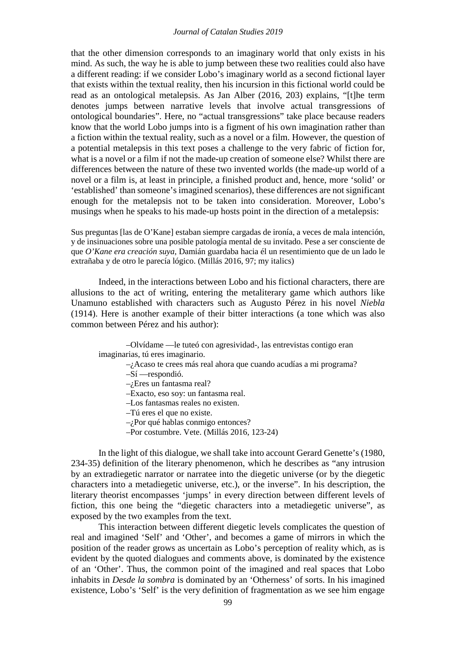that the other dimension corresponds to an imaginary world that only exists in his mind. As such, the way he is able to jump between these two realities could also have a different reading: if we consider Lobo's imaginary world as a second fictional layer that exists within the textual reality, then his incursion in this fictional world could be read as an ontological metalepsis. As Jan Alber (2016, 203) explains, "[t]he term denotes jumps between narrative levels that involve actual transgressions of ontological boundaries". Here, no "actual transgressions" take place because readers know that the world Lobo jumps into is a figment of his own imagination rather than a fiction within the textual reality, such as a novel or a film. However, the question of a potential metalepsis in this text poses a challenge to the very fabric of fiction for, what is a novel or a film if not the made-up creation of someone else? Whilst there are differences between the nature of these two invented worlds (the made-up world of a novel or a film is, at least in principle, a finished product and, hence, more 'solid' or 'established' than someone's imagined scenarios), these differences are not significant enough for the metalepsis not to be taken into consideration. Moreover, Lobo's musings when he speaks to his made-up hosts point in the direction of a metalepsis:

Sus preguntas [las de O'Kane] estaban siempre cargadas de ironía, a veces de mala intención, y de insinuaciones sobre una posible patología mental de su invitado. Pese a ser consciente de que *O'Kane era creación suya*, Damián guardaba hacia él un resentimiento que de un lado le extrañaba y de otro le parecía lógico. (Millás 2016, 97; my italics)

Indeed, in the interactions between Lobo and his fictional characters, there are allusions to the act of writing, entering the metaliterary game which authors like Unamuno established with characters such as Augusto Pérez in his novel *Niebla* (1914). Here is another example of their bitter interactions (a tone which was also common between Pérez and his author):

| -Olvídame — le tuteó con agresividad-, las entrevistas contigo eran  |
|----------------------------------------------------------------------|
| imaginarias, tú eres imaginario.                                     |
| $-i$ Acaso te crees más real ahora que cuando acudías a mi programa? |
| $-Si$ —respondió.                                                    |
| $-i$ Eres un fantasma real?                                          |
| -Exacto, eso soy: un fantasma real.                                  |
| -Los fantasmas reales no existen.                                    |
| $-T$ ú eres el que no existe.                                        |
| $-i$ Por qué hablas conmigo entonces?                                |
| -Por costumbre. Vete. (Millás 2016, 123-24)                          |

In the light of this dialogue, we shall take into account Gerard Genette's (1980, 234-35) definition of the literary phenomenon, which he describes as "any intrusion by an extradiegetic narrator or narratee into the diegetic universe (or by the diegetic characters into a metadiegetic universe, etc.), or the inverse". In his description, the literary theorist encompasses 'jumps' in every direction between different levels of fiction, this one being the "diegetic characters into a metadiegetic universe", as exposed by the two examples from the text.

This interaction between different diegetic levels complicates the question of real and imagined 'Self' and 'Other', and becomes a game of mirrors in which the position of the reader grows as uncertain as Lobo's perception of reality which, as is evident by the quoted dialogues and comments above, is dominated by the existence of an 'Other'. Thus, the common point of the imagined and real spaces that Lobo inhabits in *Desde la sombra* is dominated by an 'Otherness' of sorts. In his imagined existence, Lobo's 'Self' is the very definition of fragmentation as we see him engage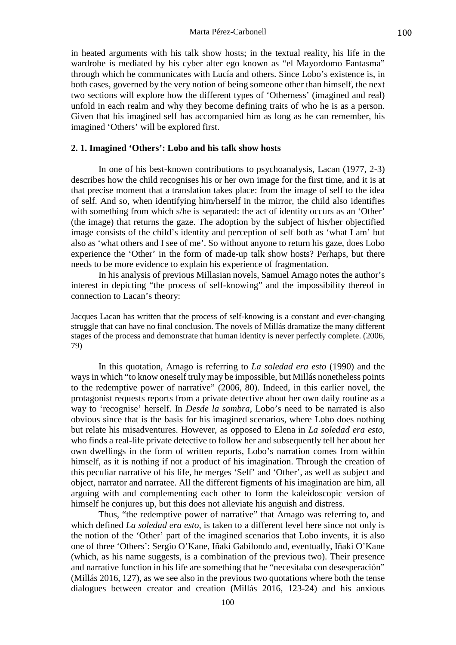in heated arguments with his talk show hosts; in the textual reality, his life in the wardrobe is mediated by his cyber alter ego known as "el Mayordomo Fantasma" through which he communicates with Lucía and others. Since Lobo's existence is, in both cases, governed by the very notion of being someone other than himself, the next two sections will explore how the different types of 'Otherness' (imagined and real) unfold in each realm and why they become defining traits of who he is as a person. Given that his imagined self has accompanied him as long as he can remember, his imagined 'Others' will be explored first.

### **2. 1. Imagined 'Others': Lobo and his talk show hosts**

In one of his best-known contributions to psychoanalysis, Lacan (1977, 2-3) describes how the child recognises his or her own image for the first time, and it is at that precise moment that a translation takes place: from the image of self to the idea of self. And so, when identifying him/herself in the mirror, the child also identifies with something from which s/he is separated: the act of identity occurs as an 'Other' (the image) that returns the gaze. The adoption by the subject of his/her objectified image consists of the child's identity and perception of self both as 'what I am' but also as 'what others and I see of me'. So without anyone to return his gaze, does Lobo experience the 'Other' in the form of made-up talk show hosts? Perhaps, but there needs to be more evidence to explain his experience of fragmentation.

In his analysis of previous Millasian novels, Samuel Amago notes the author's interest in depicting "the process of self-knowing" and the impossibility thereof in connection to Lacan's theory:

Jacques Lacan has written that the process of self-knowing is a constant and ever-changing struggle that can have no final conclusion. The novels of Millás dramatize the many different stages of the process and demonstrate that human identity is never perfectly complete. (2006, 79)

In this quotation, Amago is referring to *La soledad era esto* (1990) and the ways in which "to know oneself truly may be impossible, but Millás nonetheless points to the redemptive power of narrative" (2006, 80). Indeed, in this earlier novel, the protagonist requests reports from a private detective about her own daily routine as a way to 'recognise' herself. In *Desde la sombra*, Lobo's need to be narrated is also obvious since that is the basis for his imagined scenarios, where Lobo does nothing but relate his misadventures. However, as opposed to Elena in *La soledad era esto*, who finds a real-life private detective to follow her and subsequently tell her about her own dwellings in the form of written reports, Lobo's narration comes from within himself, as it is nothing if not a product of his imagination. Through the creation of this peculiar narrative of his life, he merges 'Self' and 'Other', as well as subject and object, narrator and narratee. All the different figments of his imagination are him, all arguing with and complementing each other to form the kaleidoscopic version of himself he conjures up, but this does not alleviate his anguish and distress.

Thus, "the redemptive power of narrative" that Amago was referring to, and which defined *La soledad era esto*, is taken to a different level here since not only is the notion of the 'Other' part of the imagined scenarios that Lobo invents, it is also one of three 'Others': Sergio O'Kane, Iñaki Gabilondo and, eventually, Iñaki O'Kane (which, as his name suggests, is a combination of the previous two). Their presence and narrative function in his life are something that he "necesitaba con desesperación" (Millás 2016, 127), as we see also in the previous two quotations where both the tense dialogues between creator and creation (Millás 2016, 123-24) and his anxious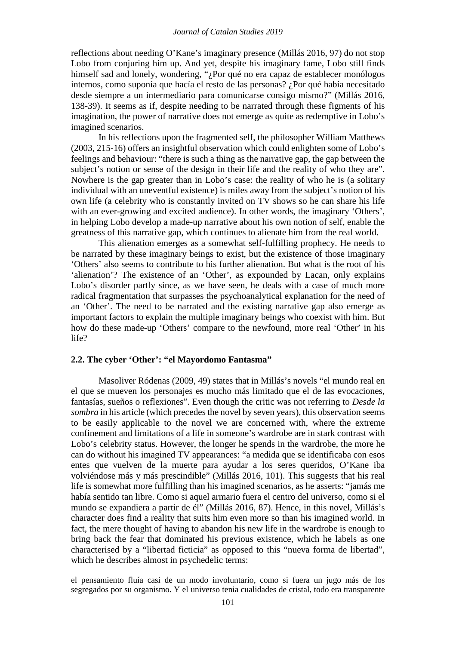reflections about needing O'Kane's imaginary presence (Millás 2016, 97) do not stop Lobo from conjuring him up. And yet, despite his imaginary fame, Lobo still finds himself sad and lonely, wondering, "¿Por qué no era capaz de establecer monólogos internos, como suponía que hacía el resto de las personas? ¿Por qué había necesitado desde siempre a un intermediario para comunicarse consigo mismo?" (Millás 2016, 138-39). It seems as if, despite needing to be narrated through these figments of his imagination, the power of narrative does not emerge as quite as redemptive in Lobo's imagined scenarios.

In his reflections upon the fragmented self, the philosopher William Matthews (2003, 215-16) offers an insightful observation which could enlighten some of Lobo's feelings and behaviour: "there is such a thing as the narrative gap, the gap between the subject's notion or sense of the design in their life and the reality of who they are". Nowhere is the gap greater than in Lobo's case: the reality of who he is (a solitary individual with an uneventful existence) is miles away from the subject's notion of his own life (a celebrity who is constantly invited on TV shows so he can share his life with an ever-growing and excited audience). In other words, the imaginary 'Others', in helping Lobo develop a made-up narrative about his own notion of self, enable the greatness of this narrative gap, which continues to alienate him from the real world.

This alienation emerges as a somewhat self-fulfilling prophecy. He needs to be narrated by these imaginary beings to exist, but the existence of those imaginary 'Others' also seems to contribute to his further alienation. But what is the root of his 'alienation'? The existence of an 'Other', as expounded by Lacan, only explains Lobo's disorder partly since, as we have seen, he deals with a case of much more radical fragmentation that surpasses the psychoanalytical explanation for the need of an 'Other'. The need to be narrated and the existing narrative gap also emerge as important factors to explain the multiple imaginary beings who coexist with him. But how do these made-up 'Others' compare to the newfound, more real 'Other' in his life?

# **2.2. The cyber 'Other': "el Mayordomo Fantasma"**

Masoliver Ródenas (2009, 49) states that in Millás's novels "el mundo real en el que se mueven los personajes es mucho más limitado que el de las evocaciones, fantasías, sueños o reflexiones". Even though the critic was not referring to *Desde la sombra* in his article (which precedes the novel by seven years), this observation seems to be easily applicable to the novel we are concerned with, where the extreme confinement and limitations of a life in someone's wardrobe are in stark contrast with Lobo's celebrity status. However, the longer he spends in the wardrobe, the more he can do without his imagined TV appearances: "a medida que se identificaba con esos entes que vuelven de la muerte para ayudar a los seres queridos, O'Kane iba volviéndose más y más prescindible" (Millás 2016, 101). This suggests that his real life is somewhat more fulfilling than his imagined scenarios, as he asserts: "jamás me había sentido tan libre. Como si aquel armario fuera el centro del universo, como si el mundo se expandiera a partir de él" (Millás 2016, 87). Hence, in this novel, Millás's character does find a reality that suits him even more so than his imagined world. In fact, the mere thought of having to abandon his new life in the wardrobe is enough to bring back the fear that dominated his previous existence, which he labels as one characterised by a "libertad ficticia" as opposed to this "nueva forma de libertad", which he describes almost in psychedelic terms:

el pensamiento fluía casi de un modo involuntario, como si fuera un jugo más de los segregados por su organismo. Y el universo tenia cualidades de cristal, todo era transparente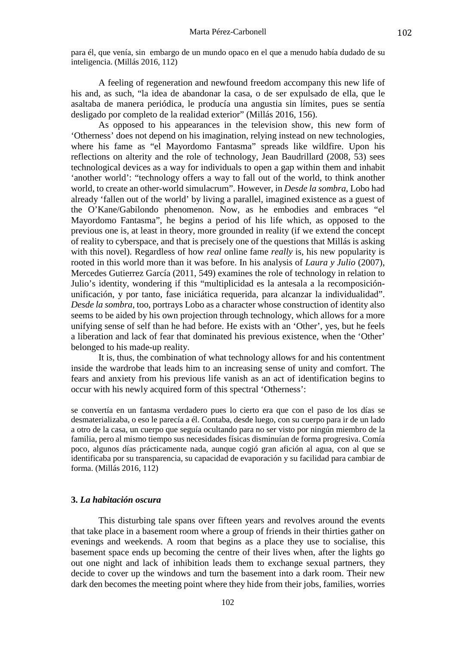para él, que venía, sin embargo de un mundo opaco en el que a menudo había dudado de su inteligencia. (Millás 2016, 112)

A feeling of regeneration and newfound freedom accompany this new life of his and, as such, "la idea de abandonar la casa, o de ser expulsado de ella, que le asaltaba de manera periódica, le producía una angustia sin límites, pues se sentía desligado por completo de la realidad exterior" (Millás 2016, 156).

As opposed to his appearances in the television show, this new form of 'Otherness' does not depend on his imagination, relying instead on new technologies, where his fame as "el Mayordomo Fantasma" spreads like wildfire. Upon his reflections on alterity and the role of technology, Jean Baudrillard (2008, 53) sees technological devices as a way for individuals to open a gap within them and inhabit 'another world': "technology offers a way to fall out of the world, to think another world, to create an other-world simulacrum". However, in *Desde la sombra*, Lobo had already 'fallen out of the world' by living a parallel, imagined existence as a guest of the O'Kane/Gabilondo phenomenon. Now, as he embodies and embraces "el Mayordomo Fantasma", he begins a period of his life which, as opposed to the previous one is, at least in theory, more grounded in reality (if we extend the concept of reality to cyberspace, and that is precisely one of the questions that Millás is asking with this novel). Regardless of how *real* online fame *really* is, his new popularity is rooted in this world more than it was before. In his analysis of *Laura y Julio* (2007), Mercedes Gutierrez García (2011, 549) examines the role of technology in relation to Julio's identity, wondering if this "multiplicidad es la antesala a la recomposiciónunificación, y por tanto, fase iniciática requerida, para alcanzar la individualidad". *Desde la sombra*, too, portrays Lobo as a character whose construction of identity also seems to be aided by his own projection through technology, which allows for a more unifying sense of self than he had before. He exists with an 'Other', yes, but he feels a liberation and lack of fear that dominated his previous existence, when the 'Other' belonged to his made-up reality.

It is, thus, the combination of what technology allows for and his contentment inside the wardrobe that leads him to an increasing sense of unity and comfort. The fears and anxiety from his previous life vanish as an act of identification begins to occur with his newly acquired form of this spectral 'Otherness':

se convertía en un fantasma verdadero pues lo cierto era que con el paso de los días se desmaterializaba, o eso le parecía a él. Contaba, desde luego, con su cuerpo para ir de un lado a otro de la casa, un cuerpo que seguía ocultando para no ser visto por ningún miembro de la familia, pero al mismo tiempo sus necesidades físicas disminuían de forma progresiva. Comía poco, algunos días prácticamente nada, aunque cogió gran afición al agua, con al que se identificaba por su transparencia, su capacidad de evaporación y su facilidad para cambiar de forma. (Millás 2016, 112)

# **3.** *La habitación oscura*

This disturbing tale spans over fifteen years and revolves around the events that take place in a basement room where a group of friends in their thirties gather on evenings and weekends. A room that begins as a place they use to socialise, this basement space ends up becoming the centre of their lives when, after the lights go out one night and lack of inhibition leads them to exchange sexual partners, they decide to cover up the windows and turn the basement into a dark room. Their new dark den becomes the meeting point where they hide from their jobs, families, worries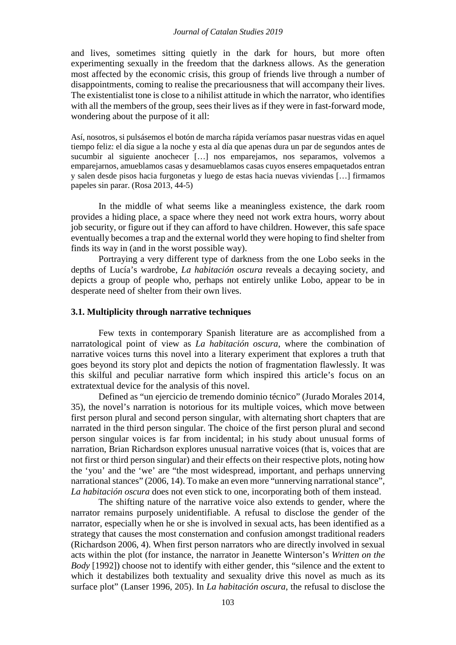and lives, sometimes sitting quietly in the dark for hours, but more often experimenting sexually in the freedom that the darkness allows. As the generation most affected by the economic crisis, this group of friends live through a number of disappointments, coming to realise the precariousness that will accompany their lives. The existentialist tone is close to a nihilist attitude in which the narrator, who identifies with all the members of the group, sees their lives as if they were in fast-forward mode, wondering about the purpose of it all:

Así, nosotros, si pulsásemos el botón de marcha rápida veríamos pasar nuestras vidas en aquel tiempo feliz: el día sigue a la noche y esta al día que apenas dura un par de segundos antes de sucumbir al siguiente anochecer […] nos emparejamos, nos separamos, volvemos a emparejarnos, amueblamos casas y desamueblamos casas cuyos enseres empaquetados entran y salen desde pisos hacia furgonetas y luego de estas hacia nuevas viviendas […] firmamos papeles sin parar. (Rosa 2013, 44-5)

In the middle of what seems like a meaningless existence, the dark room provides a hiding place, a space where they need not work extra hours, worry about job security, or figure out if they can afford to have children. However, this safe space eventually becomes a trap and the external world they were hoping to find shelter from finds its way in (and in the worst possible way).

Portraying a very different type of darkness from the one Lobo seeks in the depths of Lucía's wardrobe, *La habitación oscura* reveals a decaying society, and depicts a group of people who, perhaps not entirely unlike Lobo, appear to be in desperate need of shelter from their own lives.

## **3.1. Multiplicity through narrative techniques**

Few texts in contemporary Spanish literature are as accomplished from a narratological point of view as *La habitación oscura*, where the combination of narrative voices turns this novel into a literary experiment that explores a truth that goes beyond its story plot and depicts the notion of fragmentation flawlessly. It was this skilful and peculiar narrative form which inspired this article's focus on an extratextual device for the analysis of this novel.

Defined as "un ejercicio de tremendo dominio técnico" (Jurado Morales 2014, 35), the novel's narration is notorious for its multiple voices, which move between first person plural and second person singular, with alternating short chapters that are narrated in the third person singular. The choice of the first person plural and second person singular voices is far from incidental; in his study about unusual forms of narration, Brian Richardson explores unusual narrative voices (that is, voices that are not first or third person singular) and their effects on their respective plots, noting how the 'you' and the 'we' are "the most widespread, important, and perhaps unnerving narrational stances" (2006, 14). To make an even more "unnerving narrational stance", *La habitación oscura* does not even stick to one, incorporating both of them instead.

The shifting nature of the narrative voice also extends to gender, where the narrator remains purposely unidentifiable. A refusal to disclose the gender of the narrator, especially when he or she is involved in sexual acts, has been identified as a strategy that causes the most consternation and confusion amongst traditional readers (Richardson 2006, 4). When first person narrators who are directly involved in sexual acts within the plot (for instance, the narrator in Jeanette Winterson's *Written on the Body* [1992]) choose not to identify with either gender, this "silence and the extent to which it destabilizes both textuality and sexuality drive this novel as much as its surface plot" (Lanser 1996, 205). In *La habitación oscura*, the refusal to disclose the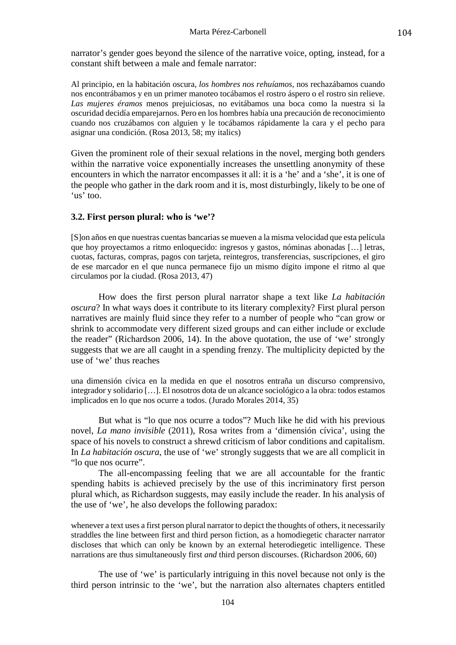narrator's gender goes beyond the silence of the narrative voice, opting, instead, for a constant shift between a male and female narrator:

Al principio, en la habitación oscura, *los hombres nos rehuíamos*, nos rechazábamos cuando nos encontrábamos y en un primer manoteo tocábamos el rostro áspero o el rostro sin relieve. *Las mujeres éramos* menos prejuiciosas, no evitábamos una boca como la nuestra si la oscuridad decidía emparejarnos. Pero en los hombres había una precaución de reconocimiento cuando nos cruzábamos con alguien y le tocábamos rápidamente la cara y el pecho para asignar una condición. (Rosa 2013, 58; my italics)

Given the prominent role of their sexual relations in the novel, merging both genders within the narrative voice exponentially increases the unsettling anonymity of these encounters in which the narrator encompasses it all: it is a 'he' and a 'she', it is one of the people who gather in the dark room and it is, most disturbingly, likely to be one of 'us' too.

## **3.2. First person plural: who is 'we'?**

[S]on años en que nuestras cuentas bancarias se mueven a la misma velocidad que esta película que hoy proyectamos a ritmo enloquecido: ingresos y gastos, nóminas abonadas […] letras, cuotas, facturas, compras, pagos con tarjeta, reintegros, transferencias, suscripciones, el giro de ese marcador en el que nunca permanece fijo un mismo dígito impone el ritmo al que circulamos por la ciudad. (Rosa 2013, 47)

How does the first person plural narrator shape a text like *La habitación oscura*? In what ways does it contribute to its literary complexity? First plural person narratives are mainly fluid since they refer to a number of people who "can grow or shrink to accommodate very different sized groups and can either include or exclude the reader" (Richardson 2006, 14). In the above quotation, the use of 'we' strongly suggests that we are all caught in a spending frenzy. The multiplicity depicted by the use of 'we' thus reaches

una dimensión cívica en la medida en que el nosotros entraña un discurso comprensivo, integrador y solidario […]. El nosotros dota de un alcance sociológico a la obra: todos estamos implicados en lo que nos ocurre a todos. (Jurado Morales 2014, 35)

But what is "lo que nos ocurre a todos"? Much like he did with his previous novel, *La mano invisible* (2011), Rosa writes from a 'dimensión cívica', using the space of his novels to construct a shrewd criticism of labor conditions and capitalism. In *La habitación oscura*, the use of 'we' strongly suggests that we are all complicit in "lo que nos ocurre".

The all-encompassing feeling that we are all accountable for the frantic spending habits is achieved precisely by the use of this incriminatory first person plural which, as Richardson suggests, may easily include the reader. In his analysis of the use of 'we', he also develops the following paradox:

whenever a text uses a first person plural narrator to depict the thoughts of others, it necessarily straddles the line between first and third person fiction, as a homodiegetic character narrator discloses that which can only be known by an external heterodiegetic intelligence. These narrations are thus simultaneously first *and* third person discourses. (Richardson 2006, 60)

The use of 'we' is particularly intriguing in this novel because not only is the third person intrinsic to the 'we', but the narration also alternates chapters entitled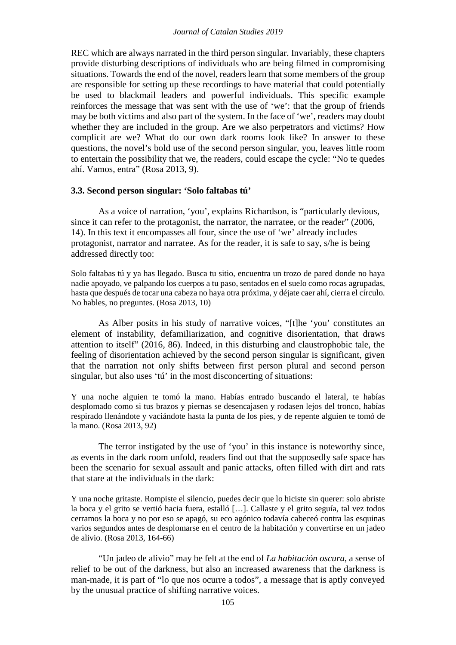REC which are always narrated in the third person singular. Invariably, these chapters provide disturbing descriptions of individuals who are being filmed in compromising situations. Towards the end of the novel, readers learn that some members of the group are responsible for setting up these recordings to have material that could potentially be used to blackmail leaders and powerful individuals. This specific example reinforces the message that was sent with the use of 'we': that the group of friends may be both victims and also part of the system. In the face of 'we', readers may doubt whether they are included in the group. Are we also perpetrators and victims? How complicit are we? What do our own dark rooms look like? In answer to these questions, the novel's bold use of the second person singular, you, leaves little room to entertain the possibility that we, the readers, could escape the cycle: "No te quedes ahí. Vamos, entra" (Rosa 2013, 9).

### **3.3. Second person singular: 'Solo faltabas tú'**

As a voice of narration, 'you', explains Richardson, is "particularly devious, since it can refer to the protagonist, the narrator, the narratee, or the reader" (2006, 14). In this text it encompasses all four, since the use of 'we' already includes protagonist, narrator and narratee. As for the reader, it is safe to say, s/he is being addressed directly too:

Solo faltabas tú y ya has llegado. Busca tu sitio, encuentra un trozo de pared donde no haya nadie apoyado, ve palpando los cuerpos a tu paso, sentados en el suelo como rocas agrupadas, hasta que después de tocar una cabeza no haya otra próxima, y déjate caer ahí, cierra el círculo. No hables, no preguntes. (Rosa 2013, 10)

As Alber posits in his study of narrative voices, "[t]he 'you' constitutes an element of instability, defamiliarization, and cognitive disorientation, that draws attention to itself" (2016, 86). Indeed, in this disturbing and claustrophobic tale, the feeling of disorientation achieved by the second person singular is significant, given that the narration not only shifts between first person plural and second person singular, but also uses 'tú' in the most disconcerting of situations:

Y una noche alguien te tomó la mano. Habías entrado buscando el lateral, te habías desplomado como si tus brazos y piernas se desencajasen y rodasen lejos del tronco, habías respirado llenándote y vaciándote hasta la punta de los pies, y de repente alguien te tomó de la mano. (Rosa 2013, 92)

The terror instigated by the use of 'you' in this instance is noteworthy since, as events in the dark room unfold, readers find out that the supposedly safe space has been the scenario for sexual assault and panic attacks, often filled with dirt and rats that stare at the individuals in the dark:

Y una noche gritaste. Rompiste el silencio, puedes decir que lo hiciste sin querer: solo abriste la boca y el grito se vertió hacia fuera, estalló […]. Callaste y el grito seguía, tal vez todos cerramos la boca y no por eso se apagó, su eco agónico todavía cabeceó contra las esquinas varios segundos antes de desplomarse en el centro de la habitación y convertirse en un jadeo de alivio. (Rosa 2013, 164-66)

"Un jadeo de alivio" may be felt at the end of *La habitación oscura*, a sense of relief to be out of the darkness, but also an increased awareness that the darkness is man-made, it is part of "lo que nos ocurre a todos", a message that is aptly conveyed by the unusual practice of shifting narrative voices.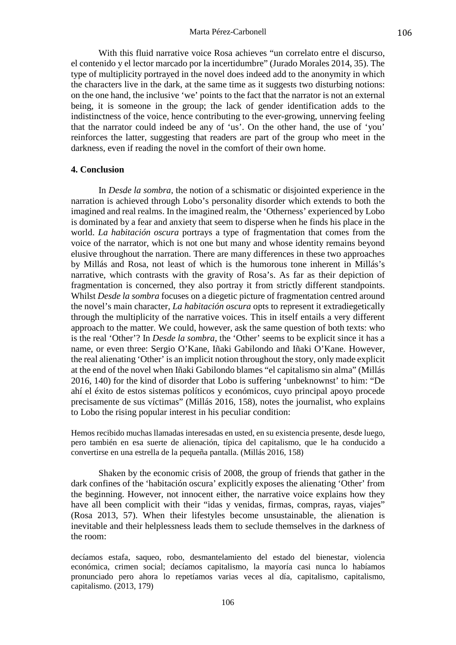#### Marta Pérez-Carbonell

With this fluid narrative voice Rosa achieves "un correlato entre el discurso, el contenido y el lector marcado por la incertidumbre" (Jurado Morales 2014, 35). The type of multiplicity portrayed in the novel does indeed add to the anonymity in which the characters live in the dark, at the same time as it suggests two disturbing notions: on the one hand, the inclusive 'we' points to the fact that the narrator is not an external being, it is someone in the group; the lack of gender identification adds to the indistinctness of the voice, hence contributing to the ever-growing, unnerving feeling that the narrator could indeed be any of 'us'. On the other hand, the use of 'you' reinforces the latter, suggesting that readers are part of the group who meet in the darkness, even if reading the novel in the comfort of their own home.

#### **4. Conclusion**

In *Desde la sombra*, the notion of a schismatic or disjointed experience in the narration is achieved through Lobo's personality disorder which extends to both the imagined and real realms. In the imagined realm, the 'Otherness' experienced by Lobo is dominated by a fear and anxiety that seem to disperse when he finds his place in the world. *La habitación oscura* portrays a type of fragmentation that comes from the voice of the narrator, which is not one but many and whose identity remains beyond elusive throughout the narration. There are many differences in these two approaches by Millás and Rosa, not least of which is the humorous tone inherent in Millás's narrative, which contrasts with the gravity of Rosa's. As far as their depiction of fragmentation is concerned, they also portray it from strictly different standpoints. Whilst *Desde la sombra* focuses on a diegetic picture of fragmentation centred around the novel's main character, *La habitación oscura* opts to represent it extradiegetically through the multiplicity of the narrative voices. This in itself entails a very different approach to the matter. We could, however, ask the same question of both texts: who is the real 'Other'? In *Desde la sombra*, the 'Other' seems to be explicit since it has a name, or even three: Sergio O'Kane, Iñaki Gabilondo and Iñaki O'Kane. However, the real alienating 'Other' is an implicit notion throughout the story, only made explicit at the end of the novel when Iñaki Gabilondo blames "el capitalismo sin alma" (Millás 2016, 140) for the kind of disorder that Lobo is suffering 'unbeknownst' to him: "De ahí el éxito de estos sistemas políticos y económicos, cuyo principal apoyo procede precisamente de sus víctimas" (Millás 2016, 158), notes the journalist, who explains to Lobo the rising popular interest in his peculiar condition:

Hemos recibido muchas llamadas interesadas en usted, en su existencia presente, desde luego, pero también en esa suerte de alienación, típica del capitalismo, que le ha conducido a convertirse en una estrella de la pequeña pantalla. (Millás 2016, 158)

Shaken by the economic crisis of 2008, the group of friends that gather in the dark confines of the 'habitación oscura' explicitly exposes the alienating 'Other' from the beginning. However, not innocent either, the narrative voice explains how they have all been complicit with their "idas y venidas, firmas, compras, rayas, viajes" (Rosa 2013, 57). When their lifestyles become unsustainable, the alienation is inevitable and their helplessness leads them to seclude themselves in the darkness of the room:

decíamos estafa, saqueo, robo, desmantelamiento del estado del bienestar, violencia económica, crimen social; decíamos capitalismo, la mayoría casi nunca lo habíamos pronunciado pero ahora lo repetíamos varias veces al día, capitalismo, capitalismo, capitalismo. (2013, 179)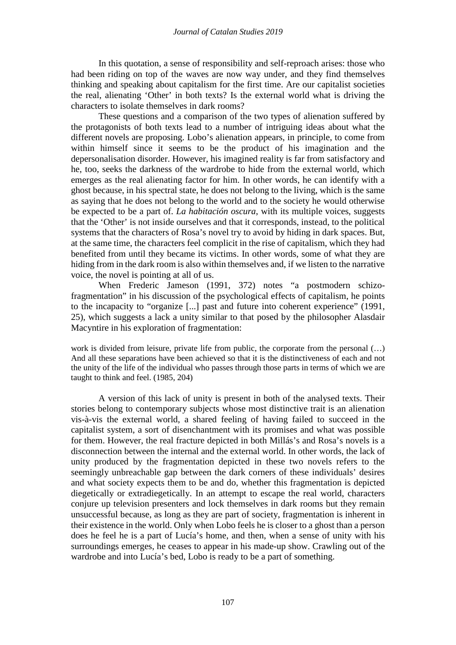In this quotation, a sense of responsibility and self-reproach arises: those who had been riding on top of the waves are now way under, and they find themselves thinking and speaking about capitalism for the first time. Are our capitalist societies the real, alienating 'Other' in both texts? Is the external world what is driving the characters to isolate themselves in dark rooms?

These questions and a comparison of the two types of alienation suffered by the protagonists of both texts lead to a number of intriguing ideas about what the different novels are proposing. Lobo's alienation appears, in principle, to come from within himself since it seems to be the product of his imagination and the depersonalisation disorder. However, his imagined reality is far from satisfactory and he, too, seeks the darkness of the wardrobe to hide from the external world, which emerges as the real alienating factor for him. In other words, he can identify with a ghost because, in his spectral state, he does not belong to the living, which is the same as saying that he does not belong to the world and to the society he would otherwise be expected to be a part of. *La habitación oscura*, with its multiple voices, suggests that the 'Other' is not inside ourselves and that it corresponds, instead, to the political systems that the characters of Rosa's novel try to avoid by hiding in dark spaces. But, at the same time, the characters feel complicit in the rise of capitalism, which they had benefited from until they became its victims. In other words, some of what they are hiding from in the dark room is also within themselves and, if we listen to the narrative voice, the novel is pointing at all of us.

When Frederic Jameson (1991, 372) notes "a postmodern schizofragmentation" in his discussion of the psychological effects of capitalism, he points to the incapacity to "organize [...] past and future into coherent experience" (1991, 25), which suggests a lack a unity similar to that posed by the philosopher Alasdair Macyntire in his exploration of fragmentation:

work is divided from leisure, private life from public, the corporate from the personal  $(...)$ And all these separations have been achieved so that it is the distinctiveness of each and not the unity of the life of the individual who passes through those parts in terms of which we are taught to think and feel. (1985, 204)

A version of this lack of unity is present in both of the analysed texts. Their stories belong to contemporary subjects whose most distinctive trait is an alienation vis-à-vis the external world, a shared feeling of having failed to succeed in the capitalist system, a sort of disenchantment with its promises and what was possible for them. However, the real fracture depicted in both Millás's and Rosa's novels is a disconnection between the internal and the external world. In other words, the lack of unity produced by the fragmentation depicted in these two novels refers to the seemingly unbreachable gap between the dark corners of these individuals' desires and what society expects them to be and do, whether this fragmentation is depicted diegetically or extradiegetically. In an attempt to escape the real world, characters conjure up television presenters and lock themselves in dark rooms but they remain unsuccessful because, as long as they are part of society, fragmentation is inherent in their existence in the world. Only when Lobo feels he is closer to a ghost than a person does he feel he is a part of Lucía's home, and then, when a sense of unity with his surroundings emerges, he ceases to appear in his made-up show. Crawling out of the wardrobe and into Lucía's bed, Lobo is ready to be a part of something.